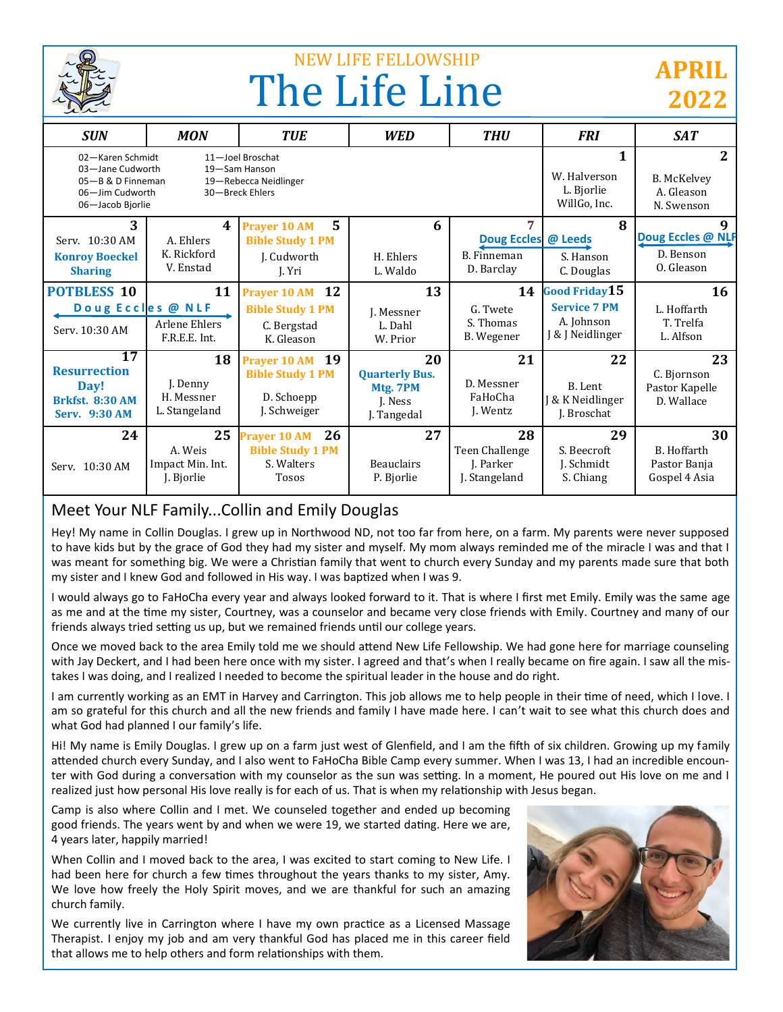

# NEW LIFE FELLOWSHIP The Life Line

## **APRIL 2022**

| <b>SUN</b>                                                                                                                                                                        | <b>MON</b>                                    | <b>TUE</b>                                                                         | <b>WED</b>                                                        | <b>THU</b>                                           | <b>FRI</b>                                            | <b>SAT</b>                                        |
|-----------------------------------------------------------------------------------------------------------------------------------------------------------------------------------|-----------------------------------------------|------------------------------------------------------------------------------------|-------------------------------------------------------------------|------------------------------------------------------|-------------------------------------------------------|---------------------------------------------------|
| 02-Karen Schmidt<br>11-Joel Broschat<br>03-Jane Cudworth<br>19-Sam Hanson<br>05-B & D Finneman<br>19-Rebecca Neidlinger<br>06-Jim Cudworth<br>30-Breck Ehlers<br>06-Jacob Bjorlie |                                               |                                                                                    |                                                                   |                                                      | 1<br>W. Halverson<br>L. Bjorlie<br>WillGo, Inc.       | 2<br>B. McKelvey<br>A. Gleason<br>N. Swenson      |
| 3<br>Serv. 10:30 AM<br><b>Konroy Boeckel</b><br><b>Sharing</b>                                                                                                                    | 4<br>A. Ehlers<br>K. Rickford<br>V. Enstad    | 5<br><b>Prayer 10 AM</b><br><b>Bible Study 1 PM</b><br>J. Cudworth<br>I. Yri       | 6<br>H. Ehlers<br>L. Waldo                                        | 7<br><b>Doug Eccles</b><br>B. Finneman<br>D. Barclay | 8<br>@ Leeds<br>S. Hanson<br>C. Douglas               | Doug Eccles @ NLF<br>D. Benson<br>O. Gleason      |
| <b>POTBLESS 10</b>                                                                                                                                                                | 11                                            | <b>12</b><br><b>Prayer 10 AM</b>                                                   | 13                                                                | 14                                                   | <b>Good Friday 15</b>                                 | 16                                                |
| Doug Eccles @ NLF<br>Serv. 10:30 AM                                                                                                                                               | Arlene Ehlers<br>F.R.E.E. Int.                | <b>Bible Study 1 PM</b><br>C. Bergstad<br>K. Gleason                               | J. Messner<br>L. Dahl<br>W. Prior                                 | G. Twete<br>S. Thomas<br>B. Wegener                  | <b>Service 7 PM</b><br>A. Johnson<br>J & J Neidlinger | L. Hoffarth<br>T. Trelfa<br>L. Alfson             |
| 17<br><b>Resurrection</b><br>Day!<br><b>Brkfst. 8:30 AM</b><br><b>Serv. 9:30 AM</b>                                                                                               | 18<br>J. Denny<br>H. Messner<br>L. Stangeland | 19<br><b>Prayer 10 AM</b><br><b>Bible Study 1 PM</b><br>D. Schoepp<br>J. Schweiger | 20<br><b>Quarterly Bus.</b><br>Mtg. 7PM<br>J. Ness<br>J. Tangedal | 21<br>D. Messner<br>FaHoCha<br>J. Wentz              | 22<br>B. Lent<br>J & K Neidlinger<br>J. Broschat      | 23<br>C. Bjornson<br>Pastor Kapelle<br>D. Wallace |
| 24                                                                                                                                                                                | 25                                            | 26<br><b>Prayer 10 AM</b>                                                          | 27                                                                | 28                                                   | 29                                                    | 30                                                |
| Serv. 10:30 AM                                                                                                                                                                    | A. Weis<br>Impact Min. Int.<br>J. Bjorlie     | <b>Bible Study 1 PM</b><br>S. Walters<br><b>Tosos</b>                              | <b>Beauclairs</b><br>P. Bjorlie                                   | Teen Challenge<br>J. Parker<br>J. Stangeland         | S. Beecroft<br>J. Schmidt<br>S. Chiang                | B. Hoffarth<br>Pastor Banja<br>Gospel 4 Asia      |

### Meet Your NLF Family...Collin and Emily Douglas

Hey! My name in Collin Douglas. I grew up in Northwood ND, not too far from here, on a farm. My parents were never supposed to have kids but by the grace of God they had my sister and myself. My mom always reminded me of the miracle I was and that I was meant for something big. We were a Christian family that went to church every Sunday and my parents made sure that both my sister and I knew God and followed in His way. I was baptized when I was 9.

I would always go to FaHoCha every year and always looked forward to it. That is where I first met Emily. Emily was the same age as me and at the time my sister, Courtney, was a counselor and became very close friends with Emily. Courtney and many of our friends always tried setting us up, but we remained friends until our college years.

Once we moved back to the area Emily told me we should attend New Life Fellowship. We had gone here for marriage counseling with Jay Deckert, and I had been here once with my sister. I agreed and that's when I really became on fire again. I saw all the mistakes I was doing, and I realized I needed to become the spiritual leader in the house and do right.

I am currently working as an EMT in Harvey and Carrington. This job allows me to help people in their time of need, which I love. I am so grateful for this church and all the new friends and family I have made here. I can't wait to see what this church does and what God had planned I our family's life.

Hi! My name is Emily Douglas. I grew up on a farm just west of Glenfield, and I am the fifth of six children. Growing up my family attended church every Sunday, and I also went to FaHoCha Bible Camp every summer. When I was 13, I had an incredible encounter with God during a conversation with my counselor as the sun was setting. In a moment, He poured out His love on me and I realized just how personal His love really is for each of us. That is when my relationship with Jesus began.

Camp is also where Collin and I met. We counseled together and ended up becoming good friends. The years went by and when we were 19, we started dating. Here we are, 4 years later, happily married!

When Collin and I moved back to the area, I was excited to start coming to New Life. I had been here for church a few times throughout the years thanks to my sister, Amy. We love how freely the Holy Spirit moves, and we are thankful for such an amazing church family.

We currently live in Carrington where I have my own practice as a Licensed Massage Therapist. I enjoy my job and am very thankful God has placed me in this career field that allows me to help others and form relationships with them.